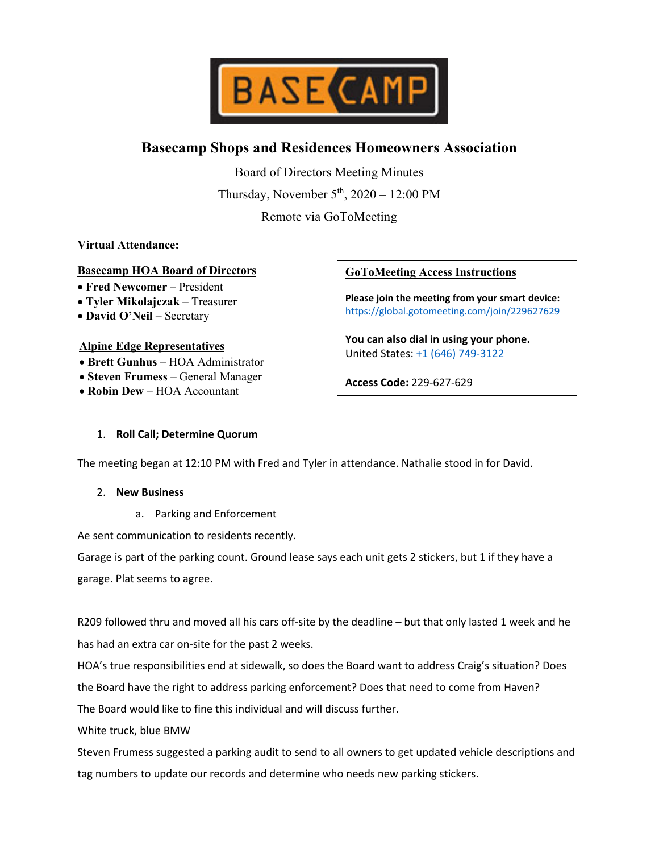

# **Basecamp Shops and Residences Homeowners Association**

Board of Directors Meeting Minutes Thursday, November  $5<sup>th</sup>$ , 2020 – 12:00 PM

Remote via GoToMeeting

# **Virtual Attendance:**

# **Basecamp HOA Board of Directors**

- **Fred Newcomer –** President
- **Tyler Mikolajczak –** Treasurer
- **David O'Neil –** Secretary

## **Alpine Edge Representatives**

- **Brett Gunhus –** HOA Administrator
- **Steven Frumess –** General Manager
- **Robin Dew** HOA Accountant

# **GoToMeeting Access Instructions**

**Please join the meeting from your smart device:** <https://global.gotomeeting.com/join/229627629>

**You can also dial in using your phone.** United States: [+1 \(646\) 749-3122](tel:+16467493122,,229627629)

**Access Code:** 229-627-629

# 1. **Roll Call; Determine Quorum**

The meeting began at 12:10 PM with Fred and Tyler in attendance. Nathalie stood in for David.

#### 2. **New Business**

a. Parking and Enforcement

Ae sent communication to residents recently.

Garage is part of the parking count. Ground lease says each unit gets 2 stickers, but 1 if they have a garage. Plat seems to agree.

R209 followed thru and moved all his cars off-site by the deadline – but that only lasted 1 week and he has had an extra car on-site for the past 2 weeks.

HOA's true responsibilities end at sidewalk, so does the Board want to address Craig's situation? Does the Board have the right to address parking enforcement? Does that need to come from Haven? The Board would like to fine this individual and will discuss further.

White truck, blue BMW

Steven Frumess suggested a parking audit to send to all owners to get updated vehicle descriptions and tag numbers to update our records and determine who needs new parking stickers.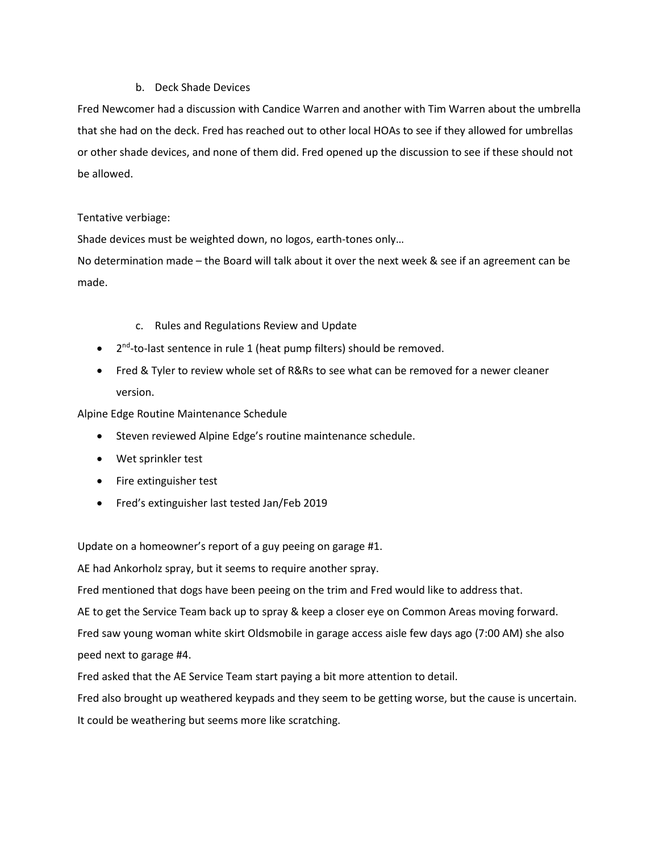#### b. Deck Shade Devices

Fred Newcomer had a discussion with Candice Warren and another with Tim Warren about the umbrella that she had on the deck. Fred has reached out to other local HOAs to see if they allowed for umbrellas or other shade devices, and none of them did. Fred opened up the discussion to see if these should not be allowed.

#### Tentative verbiage:

Shade devices must be weighted down, no logos, earth-tones only…

No determination made – the Board will talk about it over the next week & see if an agreement can be made.

- c. Rules and Regulations Review and Update
- $\bullet$  2<sup>nd</sup>-to-last sentence in rule 1 (heat pump filters) should be removed.
- Fred & Tyler to review whole set of R&Rs to see what can be removed for a newer cleaner version.

Alpine Edge Routine Maintenance Schedule

- Steven reviewed Alpine Edge's routine maintenance schedule.
- Wet sprinkler test
- Fire extinguisher test
- Fred's extinguisher last tested Jan/Feb 2019

Update on a homeowner's report of a guy peeing on garage #1.

AE had Ankorholz spray, but it seems to require another spray.

Fred mentioned that dogs have been peeing on the trim and Fred would like to address that.

AE to get the Service Team back up to spray & keep a closer eye on Common Areas moving forward.

Fred saw young woman white skirt Oldsmobile in garage access aisle few days ago (7:00 AM) she also peed next to garage #4.

Fred asked that the AE Service Team start paying a bit more attention to detail.

Fred also brought up weathered keypads and they seem to be getting worse, but the cause is uncertain.

It could be weathering but seems more like scratching.